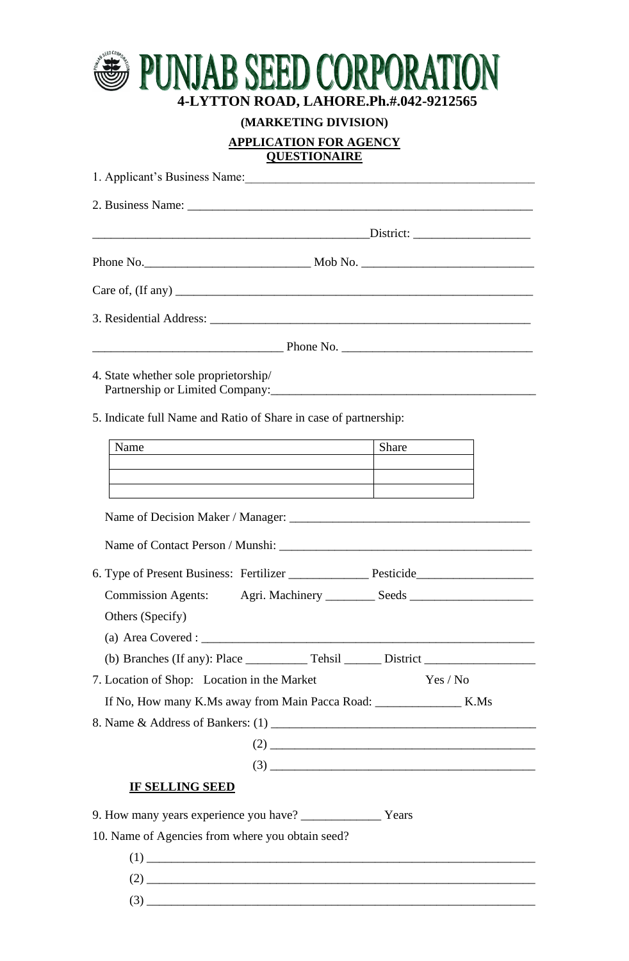

**(MARKETING DIVISION)**

**APPLICATION FOR AGENCY**

**QUESTIONAIRE**

| 1. Applicant's Business Name:                                                                                                                            |                                                |
|----------------------------------------------------------------------------------------------------------------------------------------------------------|------------------------------------------------|
|                                                                                                                                                          |                                                |
|                                                                                                                                                          |                                                |
|                                                                                                                                                          |                                                |
|                                                                                                                                                          |                                                |
|                                                                                                                                                          |                                                |
|                                                                                                                                                          |                                                |
| 4. State whether sole proprietorship/<br>Partnership or Limited Company: 2008 - 2009 - 2010 - 2010 - 2010 - 2010 - 2010 - 2010 - 2010 - 2010 - 2010 - 20 |                                                |
| 5. Indicate full Name and Ratio of Share in case of partnership:                                                                                         |                                                |
| Name<br><b>Example 2018</b> Share Share Share                                                                                                            |                                                |
|                                                                                                                                                          |                                                |
|                                                                                                                                                          |                                                |
|                                                                                                                                                          |                                                |
|                                                                                                                                                          |                                                |
|                                                                                                                                                          |                                                |
| Commission Agents: Agri. Machinery __________ Seeds ____________________________                                                                         |                                                |
| Others (Specify)                                                                                                                                         |                                                |
|                                                                                                                                                          |                                                |
|                                                                                                                                                          |                                                |
| 7. Location of Shop: Location in the Market                                                                                                              | Yes / No                                       |
|                                                                                                                                                          |                                                |
|                                                                                                                                                          |                                                |
|                                                                                                                                                          |                                                |
|                                                                                                                                                          | $(3) \qquad \qquad \overbrace{\qquad \qquad }$ |
| IF SELLING SEED                                                                                                                                          |                                                |
| 9. How many years experience you have? ________________ Years                                                                                            |                                                |
| 10. Name of Agencies from where you obtain seed?                                                                                                         |                                                |
|                                                                                                                                                          |                                                |
|                                                                                                                                                          |                                                |
|                                                                                                                                                          |                                                |